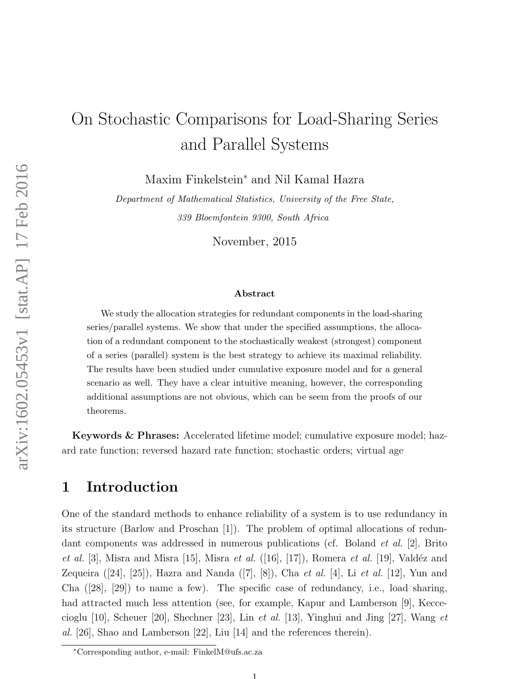# On Stochastic Comparisons for Load-Sharing Series and Parallel Systems

Maxim Finkelstein<sup>∗</sup> and Nil Kamal Hazra

Department of Mathematical Statistics, University of the Free State, 339 Bloemfontein 9300, South Africa

November, 2015

#### Abstract

We study the allocation strategies for redundant components in the load-sharing series/parallel systems. We show that under the specified assumptions, the allocation of a redundant component to the stochastically weakest (strongest) component of a series (parallel) system is the best strategy to achieve its maximal reliability. The results have been studied under cumulative exposure model and for a general scenario as well. They have a clear intuitive meaning, however, the corresponding additional assumptions are not obvious, which can be seem from the proofs of our theorems.

Keywords & Phrases: Accelerated lifetime model; cumulative exposure model; hazard rate function; reversed hazard rate function; stochastic orders; virtual age

## 1 Introduction

One of the standard methods to enhance reliability of a system is to use redundancy in its structure (Barlow and Proschan [1]). The problem of optimal allocations of redundant components was addressed in numerous publications (cf. Boland *et al.* [2], Brito *et al.* [3], Misra and Misra [15], Misra *et al.* ([16], [17]), Romera *et al.* [19], Valdéz and Zequeira ([24], [25]), Hazra and Nanda ([7], [8]), Cha *et al.* [4], Li *et al.* [12], Yun and Cha ([28], [29]) to name a few). The specific case of redundancy, i.e., load sharing, had attracted much less attention (see, for example, Kapur and Lamberson [9], Keccecioglu [10], Scheuer [20], Shechner [23], Lin *et al.* [13], Yinghui and Jing [27], Wang *et al.* [26], Shao and Lamberson [22], Liu [14] and the references therein).

<sup>∗</sup>Corresponding author, e-mail: FinkelM@ufs.ac.za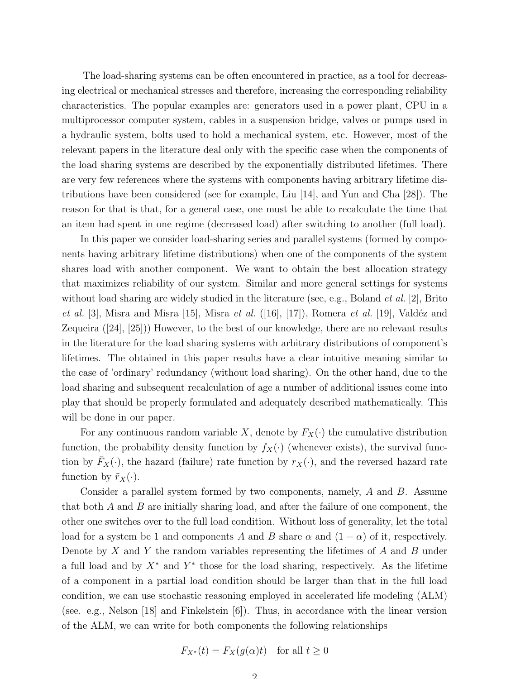The load-sharing systems can be often encountered in practice, as a tool for decreasing electrical or mechanical stresses and therefore, increasing the corresponding reliability characteristics. The popular examples are: generators used in a power plant, CPU in a multiprocessor computer system, cables in a suspension bridge, valves or pumps used in a hydraulic system, bolts used to hold a mechanical system, etc. However, most of the relevant papers in the literature deal only with the specific case when the components of the load sharing systems are described by the exponentially distributed lifetimes. There are very few references where the systems with components having arbitrary lifetime distributions have been considered (see for example, Liu [14], and Yun and Cha [28]). The reason for that is that, for a general case, one must be able to recalculate the time that an item had spent in one regime (decreased load) after switching to another (full load).

In this paper we consider load-sharing series and parallel systems (formed by components having arbitrary lifetime distributions) when one of the components of the system shares load with another component. We want to obtain the best allocation strategy that maximizes reliability of our system. Similar and more general settings for systems without load sharing are widely studied in the literature (see, e.g., Boland *et al.* [2], Brito *et al.* [3], Misra and Misra [15], Misra *et al.* ([16], [17]), Romera *et al.* [19], Valdéz and Zequeira ([24], [25])) However, to the best of our knowledge, there are no relevant results in the literature for the load sharing systems with arbitrary distributions of component's lifetimes. The obtained in this paper results have a clear intuitive meaning similar to the case of 'ordinary' redundancy (without load sharing). On the other hand, due to the load sharing and subsequent recalculation of age a number of additional issues come into play that should be properly formulated and adequately described mathematically. This will be done in our paper.

For any continuous random variable X, denote by  $F_X(\cdot)$  the cumulative distribution function, the probability density function by  $f_X(\cdot)$  (whenever exists), the survival function by  $F_X(\cdot)$ , the hazard (failure) rate function by  $r_X(\cdot)$ , and the reversed hazard rate function by  $\tilde{r}_X(\cdot)$ .

Consider a parallel system formed by two components, namely, A and B. Assume that both A and B are initially sharing load, and after the failure of one component, the other one switches over to the full load condition. Without loss of generality, let the total load for a system be 1 and components A and B share  $\alpha$  and  $(1 - \alpha)$  of it, respectively. Denote by  $X$  and  $Y$  the random variables representing the lifetimes of  $A$  and  $B$  under a full load and by  $X^*$  and  $Y^*$  those for the load sharing, respectively. As the lifetime of a component in a partial load condition should be larger than that in the full load condition, we can use stochastic reasoning employed in accelerated life modeling (ALM) (see. e.g., Nelson [18] and Finkelstein [6]). Thus, in accordance with the linear version of the ALM, we can write for both components the following relationships

$$
F_{X^*}(t) = F_X(g(\alpha)t) \quad \text{for all } t \ge 0
$$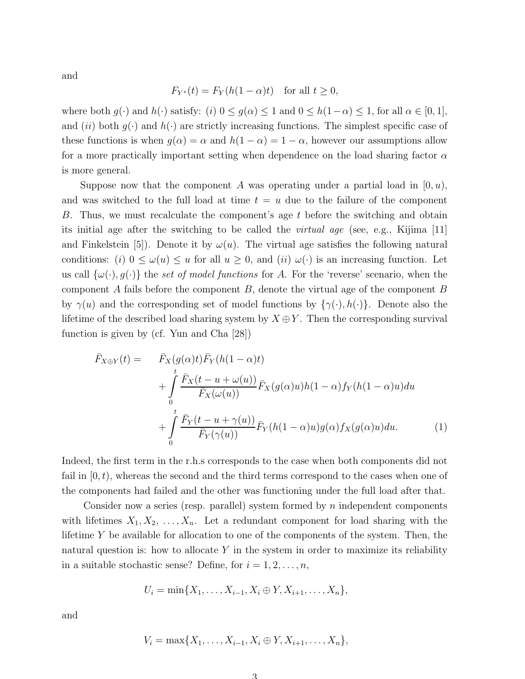$$
F_{Y^*}(t) = F_Y(h(1 - \alpha)t) \quad \text{for all } t \ge 0,
$$

where both  $g(\cdot)$  and  $h(\cdot)$  satisfy: (i)  $0 \le g(\alpha) \le 1$  and  $0 \le h(1-\alpha) \le 1$ , for all  $\alpha \in [0,1]$ , and (ii) both  $g(\cdot)$  and  $h(\cdot)$  are strictly increasing functions. The simplest specific case of these functions is when  $g(\alpha) = \alpha$  and  $h(1 - \alpha) = 1 - \alpha$ , however our assumptions allow for a more practically important setting when dependence on the load sharing factor  $\alpha$ is more general.

Suppose now that the component A was operating under a partial load in  $(0, u)$ , and was switched to the full load at time  $t = u$  due to the failure of the component B. Thus, we must recalculate the component's age t before the switching and obtain its initial age after the switching to be called the *virtual age* (see, e.g., Kijima [11] and Finkelstein [5]). Denote it by  $\omega(u)$ . The virtual age satisfies the following natural conditions: (i)  $0 \leq \omega(u) \leq u$  for all  $u \geq 0$ , and (ii)  $\omega(\cdot)$  is an increasing function. Let us call  $\{\omega(\cdot), g(\cdot)\}\$  the *set of model functions* for A. For the 'reverse' scenario, when the component A fails before the component  $B$ , denote the virtual age of the component  $B$ by  $\gamma(u)$  and the corresponding set of model functions by  $\{\gamma(\cdot), h(\cdot)\}\$ . Denote also the lifetime of the described load sharing system by  $X \oplus Y$ . Then the corresponding survival function is given by (cf. Yun and Cha [28])

$$
\bar{F}_{X \oplus Y}(t) = \bar{F}_X(g(\alpha)t)\bar{F}_Y(h(1-\alpha)t) \n+ \int_0^t \frac{\bar{F}_X(t-u+\omega(u))}{\bar{F}_X(\omega(u))}\bar{F}_X(g(\alpha)u)h(1-\alpha)f_Y(h(1-\alpha)u)du \n+ \int_0^t \frac{\bar{F}_Y(t-u+\gamma(u))}{\bar{F}_Y(\gamma(u))}\bar{F}_Y(h(1-\alpha)u)g(\alpha)f_X(g(\alpha)u)du.
$$
\n(1)

Indeed, the first term in the r.h.s corresponds to the case when both components did not fail in  $[0, t)$ , whereas the second and the third terms correspond to the cases when one of the components had failed and the other was functioning under the full load after that.

Consider now a series (resp. parallel) system formed by n independent components with lifetimes  $X_1, X_2, \ldots, X_n$ . Let a redundant component for load sharing with the lifetime  $Y$  be available for allocation to one of the components of the system. Then, the natural question is: how to allocate  $Y$  in the system in order to maximize its reliability in a suitable stochastic sense? Define, for  $i = 1, 2, \ldots, n$ ,

$$
U_i = \min\{X_1, \ldots, X_{i-1}, X_i \oplus Y, X_{i+1}, \ldots, X_n\},\
$$

and

$$
V_i = \max\{X_1, \ldots, X_{i-1}, X_i \oplus Y, X_{i+1}, \ldots, X_n\},\
$$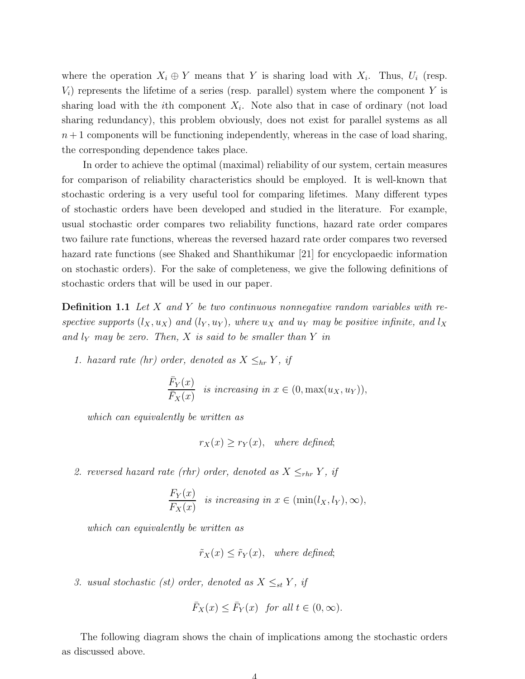where the operation  $X_i \oplus Y$  means that Y is sharing load with  $X_i$ . Thus,  $U_i$  (resp.  $V_i$ ) represents the lifetime of a series (resp. parallel) system where the component Y is sharing load with the *i*th component  $X_i$ . Note also that in case of ordinary (not load sharing redundancy), this problem obviously, does not exist for parallel systems as all  $n+1$  components will be functioning independently, whereas in the case of load sharing, the corresponding dependence takes place.

In order to achieve the optimal (maximal) reliability of our system, certain measures for comparison of reliability characteristics should be employed. It is well-known that stochastic ordering is a very useful tool for comparing lifetimes. Many different types of stochastic orders have been developed and studied in the literature. For example, usual stochastic order compares two reliability functions, hazard rate order compares two failure rate functions, whereas the reversed hazard rate order compares two reversed hazard rate functions (see Shaked and Shanthikumar [21] for encyclopaedic information on stochastic orders). For the sake of completeness, we give the following definitions of stochastic orders that will be used in our paper.

Definition 1.1 *Let* X *and* Y *be two continuous nonnegative random variables with re*spective supports  $(l_X, u_X)$  and  $(l_Y, u_Y)$ , where  $u_X$  and  $u_Y$  may be positive infinite, and  $l_X$ and  $l_Y$  *may be zero. Then,* X *is said to be smaller than* Y *in* 

*1. hazard rate (hr) order, denoted as*  $X \leq_{hr} Y$ *, if* 

$$
\frac{\bar{F}_Y(x)}{\bar{F}_X(x)}
$$
 is increasing in  $x \in (0, \max(u_X, u_Y)),$ 

*which can equivalently be written as*

$$
r_X(x) \ge r_Y(x), \quad where \, defined;
$$

2. reversed hazard rate (rhr) order, denoted as  $X \leq_{rhr} Y$ , if

$$
\frac{F_Y(x)}{F_X(x)}
$$
 is increasing in  $x \in (\min(l_X, l_Y), \infty)$ ,

*which can equivalently be written as*

$$
\tilde{r}_X(x) \leq \tilde{r}_Y(x)
$$
, where defined;

*3.* usual stochastic (st) order, denoted as  $X \leq_{st} Y$ , if

$$
\bar{F}_X(x) \le \bar{F}_Y(x) \quad \text{for all } t \in (0, \infty).
$$

The following diagram shows the chain of implications among the stochastic orders as discussed above.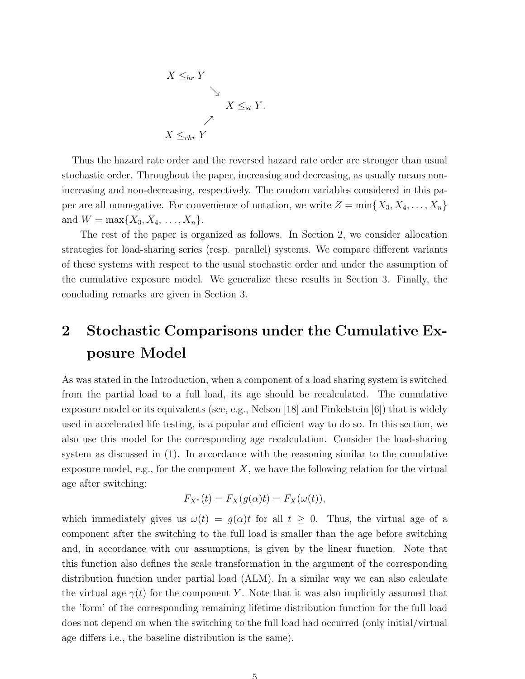$$
X \leq_{hr} Y
$$
  

$$
\searrow X \leq_{st} Y.
$$
  

$$
X \leq_{rhr} Y
$$

Thus the hazard rate order and the reversed hazard rate order are stronger than usual stochastic order. Throughout the paper, increasing and decreasing, as usually means nonincreasing and non-decreasing, respectively. The random variables considered in this paper are all nonnegative. For convenience of notation, we write  $Z = \min\{X_3, X_4, \ldots, X_n\}$ and  $W = \max\{X_3, X_4, \ldots, X_n\}.$ 

The rest of the paper is organized as follows. In Section 2, we consider allocation strategies for load-sharing series (resp. parallel) systems. We compare different variants of these systems with respect to the usual stochastic order and under the assumption of the cumulative exposure model. We generalize these results in Section 3. Finally, the concluding remarks are given in Section 3.

## 2 Stochastic Comparisons under the Cumulative Exposure Model

As was stated in the Introduction, when a component of a load sharing system is switched from the partial load to a full load, its age should be recalculated. The cumulative exposure model or its equivalents (see, e.g., Nelson [18] and Finkelstein [6]) that is widely used in accelerated life testing, is a popular and efficient way to do so. In this section, we also use this model for the corresponding age recalculation. Consider the load-sharing system as discussed in (1). In accordance with the reasoning similar to the cumulative exposure model, e.g., for the component  $X$ , we have the following relation for the virtual age after switching:

$$
F_{X^*}(t) = F_X(g(\alpha)t) = F_X(\omega(t)),
$$

which immediately gives us  $\omega(t) = g(\alpha)t$  for all  $t \geq 0$ . Thus, the virtual age of a component after the switching to the full load is smaller than the age before switching and, in accordance with our assumptions, is given by the linear function. Note that this function also defines the scale transformation in the argument of the corresponding distribution function under partial load (ALM). In a similar way we can also calculate the virtual age  $\gamma(t)$  for the component Y. Note that it was also implicitly assumed that the 'form' of the corresponding remaining lifetime distribution function for the full load does not depend on when the switching to the full load had occurred (only initial/virtual age differs i.e., the baseline distribution is the same).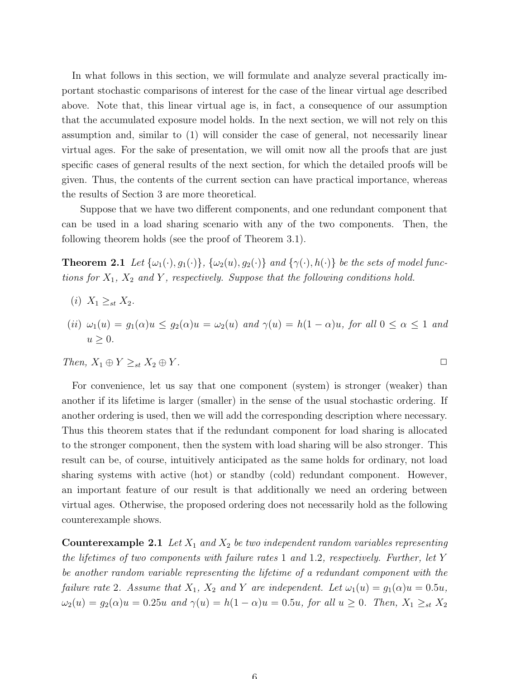In what follows in this section, we will formulate and analyze several practically important stochastic comparisons of interest for the case of the linear virtual age described above. Note that, this linear virtual age is, in fact, a consequence of our assumption that the accumulated exposure model holds. In the next section, we will not rely on this assumption and, similar to (1) will consider the case of general, not necessarily linear virtual ages. For the sake of presentation, we will omit now all the proofs that are just specific cases of general results of the next section, for which the detailed proofs will be given. Thus, the contents of the current section can have practical importance, whereas the results of Section 3 are more theoretical.

Suppose that we have two different components, and one redundant component that can be used in a load sharing scenario with any of the two components. Then, the following theorem holds (see the proof of Theorem 3.1).

**Theorem 2.1** *Let*  $\{\omega_1(\cdot), g_1(\cdot)\}\$ ,  $\{\omega_2(u), g_2(\cdot)\}\$  *and*  $\{\gamma(\cdot), h(\cdot)\}\$  *be the sets of model functions for*  $X_1$ ,  $X_2$  *and*  $Y$ *, respectively. Suppose that the following conditions hold.* 

- (*i*)  $X_1 \geq_{st} X_2$ .
- (ii)  $\omega_1(u) = g_1(\alpha)u \leq g_2(\alpha)u = \omega_2(u)$  and  $\gamma(u) = h(1-\alpha)u$ , for all  $0 \leq \alpha \leq 1$  and  $u \geq 0$ .

Then, 
$$
X_1 \oplus Y \geq_{st} X_2 \oplus Y
$$
.

For convenience, let us say that one component (system) is stronger (weaker) than another if its lifetime is larger (smaller) in the sense of the usual stochastic ordering. If another ordering is used, then we will add the corresponding description where necessary. Thus this theorem states that if the redundant component for load sharing is allocated to the stronger component, then the system with load sharing will be also stronger. This result can be, of course, intuitively anticipated as the same holds for ordinary, not load sharing systems with active (hot) or standby (cold) redundant component. However, an important feature of our result is that additionally we need an ordering between virtual ages. Otherwise, the proposed ordering does not necessarily hold as the following counterexample shows.

**Counterexample 2.1** Let  $X_1$  and  $X_2$  be two independent random variables representing *the lifetimes of two components with failure rates* 1 *and* 1.2*, respectively. Further, let* Y *be another random variable representing the lifetime of a redundant component with the failure rate* 2*.* Assume that  $X_1$ ,  $X_2$  and Y are independent. Let  $\omega_1(u) = g_1(\alpha)u = 0.5u$ ,  $\omega_2(u) = g_2(\alpha)u = 0.25u$  and  $\gamma(u) = h(1 - \alpha)u = 0.5u$ , for all  $u \ge 0$ . Then,  $X_1 \ge_{st} X_2$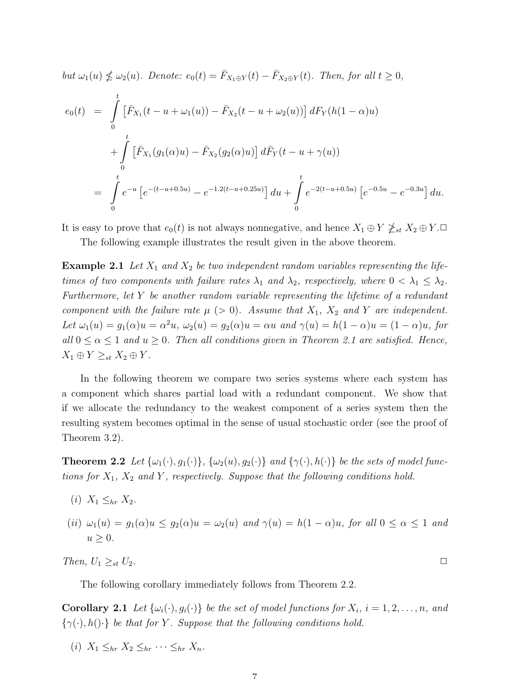*but*  $\omega_1(u) \nleq \omega_2(u)$ *. Denote:*  $e_0(t) = \overline{F}_{X_1 \oplus Y}(t) - \overline{F}_{X_2 \oplus Y}(t)$ *. Then, for all*  $t \geq 0$ *,* 

$$
e_0(t) = \int_0^t \left[ \bar{F}_{X_1}(t - u + \omega_1(u)) - \bar{F}_{X_2}(t - u + \omega_2(u)) \right] dF_Y(h(1 - \alpha)u)
$$
  
+ 
$$
\int_0^t \left[ \bar{F}_{X_1}(g_1(\alpha)u) - \bar{F}_{X_2}(g_2(\alpha)u) \right] d\bar{F}_Y(t - u + \gamma(u))
$$
  
= 
$$
\int_0^t e^{-u} \left[ e^{-(t - u + 0.5u)} - e^{-1.2(t - u + 0.25u)} \right] du + \int_0^t e^{-2(t - u + 0.5u)} \left[ e^{-0.5u} - e^{-0.3u} \right] du.
$$

It is easy to prove that  $e_0(t)$  is not always nonnegative, and hence  $X_1 \oplus Y \not\geq_{st} X_2 \oplus Y$ . $\Box$ The following example illustrates the result given in the above theorem.

**Example 2.1** Let  $X_1$  and  $X_2$  be two independent random variables representing the life*times of two components with failure rates*  $\lambda_1$  *and*  $\lambda_2$ *, respectively, where*  $0 < \lambda_1 \leq \lambda_2$ *. Furthermore, let* Y *be another random variable representing the lifetime of a redundant component with the failure rate*  $\mu$  ( $> 0$ ). Assume that  $X_1$ ,  $X_2$  and Y are independent. Let  $\omega_1(u) = g_1(\alpha)u = \alpha^2 u$ ,  $\omega_2(u) = g_2(\alpha)u = \alpha u$  and  $\gamma(u) = h(1-\alpha)u = (1-\alpha)u$ , for *all*  $0 \le \alpha \le 1$  *and*  $u \ge 0$ *. Then all conditions given in Theorem 2.1 are satisfied. Hence,*  $X_1 \oplus Y \geq_{st} X_2 \oplus Y$ .

In the following theorem we compare two series systems where each system has a component which shares partial load with a redundant component. We show that if we allocate the redundancy to the weakest component of a series system then the resulting system becomes optimal in the sense of usual stochastic order (see the proof of Theorem 3.2).

**Theorem 2.2** *Let*  $\{\omega_1(\cdot), g_1(\cdot)\}\$ ,  $\{\omega_2(u), g_2(\cdot)\}\$  *and*  $\{\gamma(\cdot), h(\cdot)\}\$  *be the sets of model functions for*  $X_1$ ,  $X_2$  *and*  $Y$ *, respectively. Suppose that the following conditions hold.* 

- (*i*)  $X_1 \leq_{hr} X_2$ .
- (ii)  $\omega_1(u) = g_1(\alpha)u \leq g_2(\alpha)u = \omega_2(u)$  and  $\gamma(u) = h(1-\alpha)u$ , for all  $0 \leq \alpha \leq 1$  and  $u > 0$ .

 $Then, U_1 \geq_{st} U_2.$ 

The following corollary immediately follows from Theorem 2.2.

**Corollary 2.1** Let  $\{\omega_i(\cdot), g_i(\cdot)\}\)$  be the set of model functions for  $X_i$ ,  $i = 1, 2, \ldots, n$ , and  $\{\gamma(\cdot), h(\cdot)\}\;$  be that for Y. Suppose that the following conditions hold.

(i)  $X_1 \leq_{hr} X_2 \leq_{hr} \cdots \leq_{hr} X_n$ .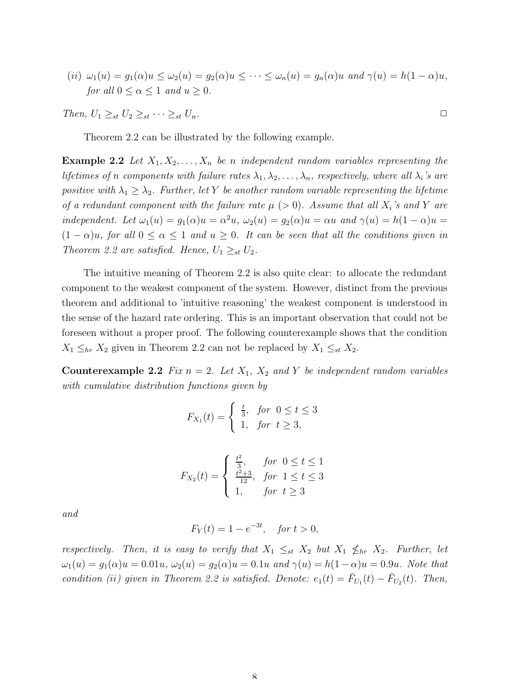(*ii*) 
$$
\omega_1(u) = g_1(\alpha)u \leq \omega_2(u) = g_2(\alpha)u \leq \cdots \leq \omega_n(u) = g_n(\alpha)u
$$
 and  $\gamma(u) = h(1 - \alpha)u$ ,  
for all  $0 \leq \alpha \leq 1$  and  $u \geq 0$ .

Then, 
$$
U_1 \geq_{st} U_2 \geq_{st} \cdots \geq_{st} U_n
$$
.

Theorem 2.2 can be illustrated by the following example.

**Example 2.2** Let  $X_1, X_2, \ldots, X_n$  be *n* independent random variables representing the *lifetimes of n components with failure rates*  $\lambda_1, \lambda_2, \ldots, \lambda_n$ , respectively, where all  $\lambda_i$ 's are *positive with*  $\lambda_1 \geq \lambda_2$ . Further, let Y be another random variable representing the lifetime *of a redundant component with the failure rate*  $\mu$  ( $>$  0). Assume that all  $X_i$ 's and Y are *independent.* Let  $\omega_1(u) = g_1(\alpha)u = \alpha^2 u$ ,  $\omega_2(u) = g_2(\alpha)u = \alpha u$  and  $\gamma(u) = h(1 - \alpha)u =$  $(1 - \alpha)u$ , for all  $0 \le \alpha \le 1$  and  $u \ge 0$ . It can be seen that all the conditions given in *Theorem 2.2 are satisfied. Hence,*  $U_1 \geq_{st} U_2$ .

The intuitive meaning of Theorem 2.2 is also quite clear: to allocate the redundant component to the weakest component of the system. However, distinct from the previous theorem and additional to 'intuitive reasoning' the weakest component is understood in the sense of the hazard rate ordering. This is an important observation that could not be foreseen without a proper proof. The following counterexample shows that the condition  $X_1 \leq_{hr} X_2$  given in Theorem 2.2 can not be replaced by  $X_1 \leq_{st} X_2$ .

**Counterexample 2.2** *Fix*  $n = 2$ *. Let*  $X_1$ *,*  $X_2$  *and*  $Y$  *be independent random variables with cumulative distribution functions given by*

$$
F_{X_1}(t) = \begin{cases} \frac{t}{3}, & \text{for } 0 \le t \le 3\\ 1, & \text{for } t \ge 3, \end{cases}
$$

$$
F_{X_2}(t) = \begin{cases} \frac{t^2}{3}, & \text{for } 0 \le t \le 1\\ \frac{t^2+3}{12}, & \text{for } 1 \le t \le 3\\ 1, & \text{for } t \ge 3 \end{cases}
$$

*and*

$$
F_Y(t) = 1 - e^{-3t}
$$
, for  $t > 0$ ,

*respectively.* Then, it is easy to verify that  $X_1 \leq_{st} X_2$  but  $X_1 \nleq_{hr} X_2$ . Further, let  $\omega_1(u) = g_1(\alpha)u = 0.01u, \ \omega_2(u) = g_2(\alpha)u = 0.1u \ and \ \gamma(u) = h(1-\alpha)u = 0.9u.$  Note that *condition (ii)* given in Theorem 2.2 is satisfied. Denote:  $e_1(t) = \overline{F}_{U_1}(t) - \overline{F}_{U_2}(t)$ . Then,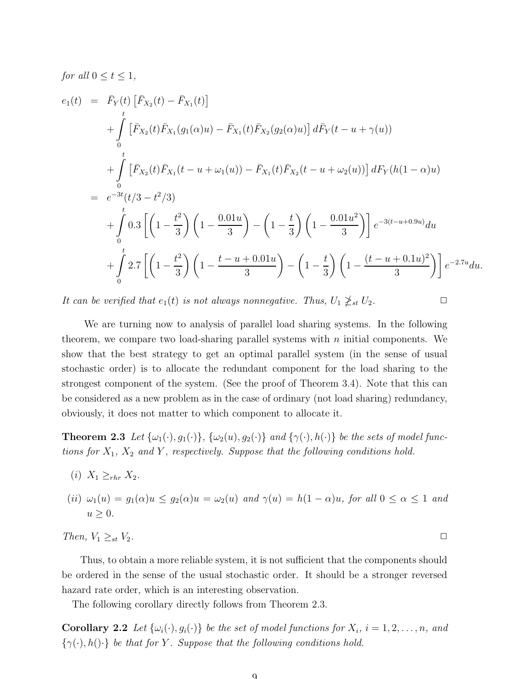for all 
$$
0 \leq t \leq 1
$$
,

$$
e_{1}(t) = \bar{F}_{Y}(t) \left[ \bar{F}_{X_{2}}(t) - \bar{F}_{X_{1}}(t) \right]
$$
  
+ 
$$
\int_{0}^{t} \left[ \bar{F}_{X_{2}}(t) \bar{F}_{X_{1}}(g_{1}(\alpha)u) - \bar{F}_{X_{1}}(t) \bar{F}_{X_{2}}(g_{2}(\alpha)u) \right] d\bar{F}_{Y}(t - u + \gamma(u))
$$
  
+ 
$$
\int_{0}^{t} \left[ \bar{F}_{X_{2}}(t) \bar{F}_{X_{1}}(t - u + \omega_{1}(u)) - \bar{F}_{X_{1}}(t) \bar{F}_{X_{2}}(t - u + \omega_{2}(u)) \right] dF_{Y}(h(1 - \alpha)u)
$$
  
= 
$$
e^{-3t}(t/3 - t^{2}/3)
$$
  
+ 
$$
\int_{0}^{t} 0.3 \left[ \left( 1 - \frac{t^{2}}{3} \right) \left( 1 - \frac{0.01u}{3} \right) - \left( 1 - \frac{t}{3} \right) \left( 1 - \frac{0.01u^{2}}{3} \right) \right] e^{-3(t - u + 0.9u)} du
$$
  
+ 
$$
\int_{0}^{t} 2.7 \left[ \left( 1 - \frac{t^{2}}{3} \right) \left( 1 - \frac{t - u + 0.01u}{3} \right) - \left( 1 - \frac{t}{3} \right) \left( 1 - \frac{(t - u + 0.1u)^{2}}{3} \right) \right] e^{-2.7u} du.
$$

*It can be verified that*  $e_1(t)$  *is not always nonnegative. Thus,*  $U_1 \ngeq_{st} U_2$ .  $\Box$ 

We are turning now to analysis of parallel load sharing systems. In the following theorem, we compare two load-sharing parallel systems with  $n$  initial components. We show that the best strategy to get an optimal parallel system (in the sense of usual stochastic order) is to allocate the redundant component for the load sharing to the strongest component of the system. (See the proof of Theorem 3.4). Note that this can be considered as a new problem as in the case of ordinary (not load sharing) redundancy, obviously, it does not matter to which component to allocate it.

**Theorem 2.3** Let  $\{\omega_1(\cdot), g_1(\cdot)\}\$ ,  $\{\omega_2(u), g_2(\cdot)\}\$  *and*  $\{\gamma(\cdot), h(\cdot)\}\$  *be the sets of model functions for*  $X_1$ ,  $X_2$  *and*  $Y$ *, respectively. Suppose that the following conditions hold.* 

- (*i*)  $X_1 \geq_{rhr} X_2$ .
- (ii)  $\omega_1(u) = g_1(\alpha)u \leq g_2(\alpha)u = \omega_2(u)$  and  $\gamma(u) = h(1-\alpha)u$ , for all  $0 \leq \alpha \leq 1$  and  $u > 0$ .

 $Then, V_1 \geq_{st} V_2.$ 

Thus, to obtain a more reliable system, it is not sufficient that the components should be ordered in the sense of the usual stochastic order. It should be a stronger reversed hazard rate order, which is an interesting observation.

The following corollary directly follows from Theorem 2.3.

**Corollary 2.2** Let  $\{\omega_i(\cdot), g_i(\cdot)\}\)$  be the set of model functions for  $X_i$ ,  $i = 1, 2, \ldots, n$ , and  ${\gamma(\cdot), h(\cdot)}$  *be that for* Y. Suppose that the following conditions hold.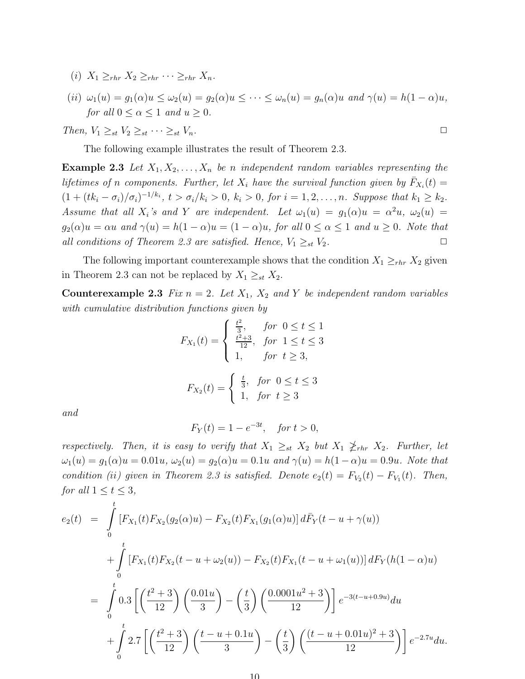(i)  $X_1 \geq_{rhr} X_2 \geq_{rhr} \cdots \geq_{rhr} X_n$ .

(*ii*) 
$$
\omega_1(u) = g_1(\alpha)u \leq \omega_2(u) = g_2(\alpha)u \leq \cdots \leq \omega_n(u) = g_n(\alpha)u
$$
 and  $\gamma(u) = h(1 - \alpha)u$ ,  
for all  $0 \leq \alpha \leq 1$  and  $u \geq 0$ .

 $Then, V_1 \geq_{st} V_2 \geq_{st} \cdots \geq_{st} V_n.$ 

The following example illustrates the result of Theorem 2.3.

**Example 2.3** Let  $X_1, X_2, \ldots, X_n$  be *n* independent random variables representing the *lifetimes of* n *components. Further, let*  $X_i$  *have the survival function given by*  $\overline{F}_{X_i}(t) =$  $(1 + (tk_i - \sigma_i)/\sigma_i)^{-1/k_i}, t > \sigma_i/k_i > 0, k_i > 0, for i = 1, 2, ..., n$ . Suppose that  $k_1 \geq k_2$ . *Assume that all X<sub>i</sub>'s and Y are independent. Let*  $\omega_1(u) = g_1(\alpha)u = \alpha^2 u$ ,  $\omega_2(u) =$  $g_2(\alpha)u = \alpha u$  and  $\gamma(u) = h(1-\alpha)u = (1-\alpha)u$ , for all  $0 \leq \alpha \leq 1$  and  $u \geq 0$ . Note that *all conditions of Theorem 2.3 are satisfied. Hence,*  $V_1 \geq_{st} V_2$ .

The following important counterexample shows that the condition  $X_1 \geq_{rhr} X_2$  given in Theorem 2.3 can not be replaced by  $X_1 \geq_{st} X_2$ .

Counterexample 2.3 *Fix*  $n = 2$ *. Let*  $X_1$ *,*  $X_2$  *and*  $Y$  *be independent random variables with cumulative distribution functions given by*

$$
F_{X_1}(t) = \begin{cases} \frac{t^2}{3}, & \text{for } 0 \le t \le 1\\ \frac{t^2+3}{12}, & \text{for } 1 \le t \le 3\\ 1, & \text{for } t \ge 3, \end{cases}
$$

$$
F_{X_2}(t) = \begin{cases} \frac{t}{3}, & \text{for } 0 \le t \le 3\\ 1, & \text{for } t \ge 3 \end{cases}
$$

*and*

$$
F_Y(t) = 1 - e^{-3t}
$$
, for  $t > 0$ ,

*respectively. Then, it is easy to verify that*  $X_1 \geq_{st} X_2$  *but*  $X_1 \ngeq_{rhr} X_2$ *. Further, let*  $\omega_1(u) = g_1(\alpha)u = 0.01u, \ \omega_2(u) = g_2(\alpha)u = 0.1u \text{ and } \gamma(u) = h(1-\alpha)u = 0.9u.$  Note that *condition (ii) given in Theorem 2.3 is satisfied. Denote*  $e_2(t) = F_{V_2}(t) - F_{V_1}(t)$ . Then, *for all*  $1 \le t \le 3$ *,* 

$$
e_2(t) = \int_0^t [F_{X_1}(t)F_{X_2}(g_2(\alpha)u) - F_{X_2}(t)F_{X_1}(g_1(\alpha)u)] d\bar{F}_Y(t-u+\gamma(u))
$$
  
+ 
$$
\int_0^t [F_{X_1}(t)F_{X_2}(t-u+\omega_2(u)) - F_{X_2}(t)F_{X_1}(t-u+\omega_1(u))] dF_Y(h(1-\alpha)u)
$$
  
= 
$$
\int_0^t 0.3 \left[ \left(\frac{t^2+3}{12}\right) \left(\frac{0.01u}{3}\right) - \left(\frac{t}{3}\right) \left(\frac{0.0001u^2+3}{12}\right) \right] e^{-3(t-u+0.9u)} du
$$
  
+ 
$$
\int_0^t 2.7 \left[ \left(\frac{t^2+3}{12}\right) \left(\frac{t-u+0.1u}{3}\right) - \left(\frac{t}{3}\right) \left(\frac{(t-u+0.01u)^2+3}{12}\right) \right] e^{-2.7u} du.
$$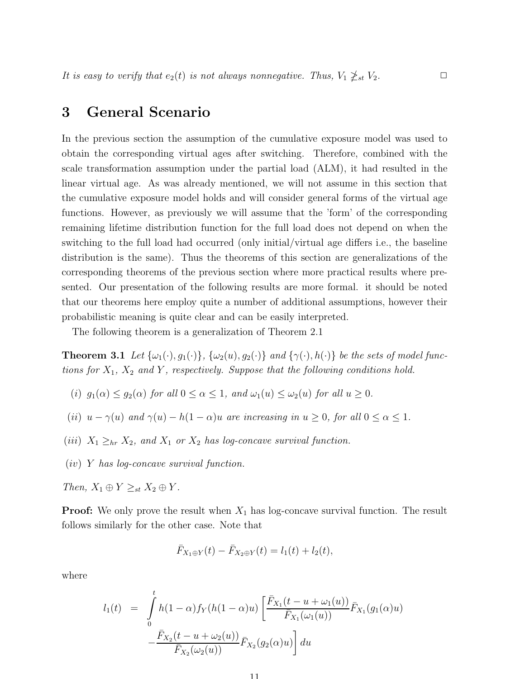*It is easy to verify that*  $e_2(t)$  *is not always nonnegative. Thus,*  $V_1 \ngeq_{st} V_2$ .

## 3 General Scenario

In the previous section the assumption of the cumulative exposure model was used to obtain the corresponding virtual ages after switching. Therefore, combined with the scale transformation assumption under the partial load (ALM), it had resulted in the linear virtual age. As was already mentioned, we will not assume in this section that the cumulative exposure model holds and will consider general forms of the virtual age functions. However, as previously we will assume that the 'form' of the corresponding remaining lifetime distribution function for the full load does not depend on when the switching to the full load had occurred (only initial/virtual age differs i.e., the baseline distribution is the same). Thus the theorems of this section are generalizations of the corresponding theorems of the previous section where more practical results where presented. Our presentation of the following results are more formal. it should be noted that our theorems here employ quite a number of additional assumptions, however their probabilistic meaning is quite clear and can be easily interpreted.

The following theorem is a generalization of Theorem 2.1

**Theorem 3.1** Let  $\{\omega_1(\cdot), g_1(\cdot)\}\$ ,  $\{\omega_2(u), g_2(\cdot)\}\$  and  $\{\gamma(\cdot), h(\cdot)\}\$  be the sets of model func*tions for*  $X_1$ ,  $X_2$  *and*  $Y$ *, respectively. Suppose that the following conditions hold.* 

- (i)  $g_1(\alpha) \leq g_2(\alpha)$  *for all*  $0 \leq \alpha \leq 1$ *, and*  $\omega_1(u) \leq \omega_2(u)$  *for all*  $u \geq 0$ *.*
- (ii)  $u \gamma(u)$  and  $\gamma(u) h(1 \alpha)u$  are increasing in  $u \ge 0$ , for all  $0 \le \alpha \le 1$ .
- (*iii*)  $X_1 \geq_{hr} X_2$ , and  $X_1$  *or*  $X_2$  *has log-concave survival function.*
- (iv) Y *has log-concave survival function.*

*Then,*  $X_1 \oplus Y \geq_{st} X_2 \oplus Y$ *.* 

**Proof:** We only prove the result when  $X_1$  has log-concave survival function. The result follows similarly for the other case. Note that

$$
\bar{F}_{X_1 \oplus Y}(t) - \bar{F}_{X_2 \oplus Y}(t) = l_1(t) + l_2(t),
$$

where

$$
l_1(t) = \int_0^t h(1-\alpha)f_Y(h(1-\alpha)u) \left[ \frac{\bar{F}_{X_1}(t-u+\omega_1(u))}{\bar{F}_{X_1}(\omega_1(u))} \bar{F}_{X_1}(g_1(\alpha)u) - \frac{\bar{F}_{X_2}(t-u+\omega_2(u))}{\bar{F}_{X_2}(\omega_2(u))} \bar{F}_{X_2}(g_2(\alpha)u) \right] du
$$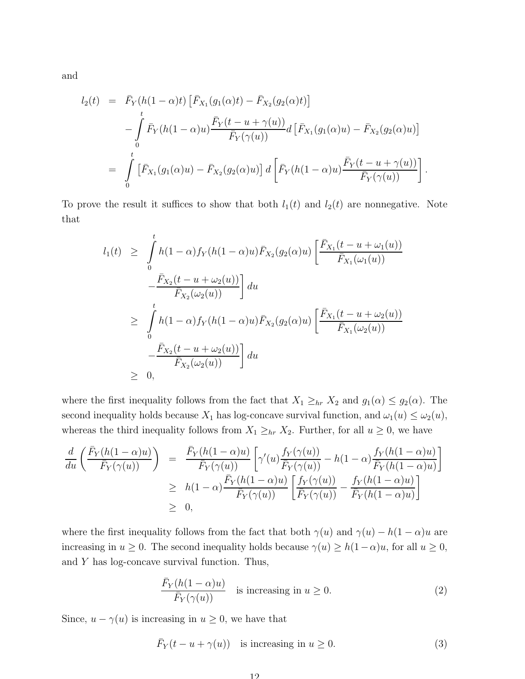$$
l_2(t) = \bar{F}_Y(h(1-\alpha)t) \left[ \bar{F}_{X_1}(g_1(\alpha)t) - \bar{F}_{X_2}(g_2(\alpha)t) \right]
$$
  

$$
- \int_0^t \bar{F}_Y(h(1-\alpha)u) \frac{\bar{F}_Y(t-u+\gamma(u))}{\bar{F}_Y(\gamma(u))} d \left[ \bar{F}_{X_1}(g_1(\alpha)u) - \bar{F}_{X_2}(g_2(\alpha)u) \right]
$$
  

$$
= \int_0^t \left[ \bar{F}_{X_1}(g_1(\alpha)u) - \bar{F}_{X_2}(g_2(\alpha)u) \right] d \left[ \bar{F}_Y(h(1-\alpha)u) \frac{\bar{F}_Y(t-u+\gamma(u))}{\bar{F}_Y(\gamma(u))} \right].
$$

To prove the result it suffices to show that both  $l_1(t)$  and  $l_2(t)$  are nonnegative. Note that

$$
l_1(t) \geq \int_0^t h(1-\alpha)f_Y(h(1-\alpha)u)\bar{F}_{X_2}(g_2(\alpha)u) \left[ \frac{\bar{F}_{X_1}(t-u+\omega_1(u))}{\bar{F}_{X_1}(\omega_1(u))} - \frac{\bar{F}_{X_2}(t-u+\omega_2(u))}{\bar{F}_{X_2}(\omega_2(u))} \right] du
$$
  
\n
$$
\geq \int_0^t h(1-\alpha)f_Y(h(1-\alpha)u)\bar{F}_{X_2}(g_2(\alpha)u) \left[ \frac{\bar{F}_{X_1}(t-u+\omega_2(u))}{\bar{F}_{X_1}(\omega_2(u))} - \frac{\bar{F}_{X_2}(t-u+\omega_2(u))}{\bar{F}_{X_2}(\omega_2(u))} \right] du
$$
  
\n
$$
\geq 0,
$$

where the first inequality follows from the fact that  $X_1 \ge_{hr} X_2$  and  $g_1(\alpha) \le g_2(\alpha)$ . The second inequality holds because  $X_1$  has log-concave survival function, and  $\omega_1(u) \leq \omega_2(u)$ , whereas the third inequality follows from  $X_1 \geq_{hr} X_2$ . Further, for all  $u \geq 0$ , we have

$$
\frac{d}{du}\left(\frac{\bar{F}_Y(h(1-\alpha)u)}{\bar{F}_Y(\gamma(u))}\right) = \frac{\bar{F}_Y(h(1-\alpha)u)}{\bar{F}_Y(\gamma(u))}\left[\gamma'(u)\frac{f_Y(\gamma(u))}{\bar{F}_Y(\gamma(u))} - h(1-\alpha)\frac{f_Y(h(1-\alpha)u)}{\bar{F}_Y(h(1-\alpha)u)}\right]
$$
\n
$$
\geq h(1-\alpha)\frac{\bar{F}_Y(h(1-\alpha)u)}{\bar{F}_Y(\gamma(u))}\left[\frac{f_Y(\gamma(u))}{\bar{F}_Y(\gamma(u))} - \frac{f_Y(h(1-\alpha)u)}{\bar{F}_Y(h(1-\alpha)u)}\right]
$$
\n
$$
\geq 0,
$$

where the first inequality follows from the fact that both  $\gamma(u)$  and  $\gamma(u) - h(1 - \alpha)u$  are increasing in  $u \ge 0$ . The second inequality holds because  $\gamma(u) \ge h(1-\alpha)u$ , for all  $u \ge 0$ , and Y has log-concave survival function. Thus,

$$
\frac{\bar{F}_Y(h(1-\alpha)u)}{\bar{F}_Y(\gamma(u))}
$$
 is increasing in  $u \ge 0$ . (2)

Since,  $u - \gamma(u)$  is increasing in  $u \geq 0$ , we have that

$$
\bar{F}_Y(t - u + \gamma(u)) \quad \text{is increasing in } u \ge 0. \tag{3}
$$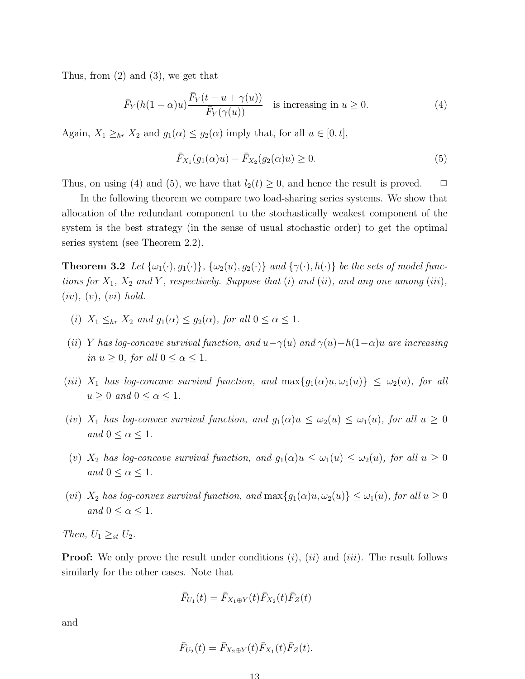Thus, from (2) and (3), we get that

$$
\bar{F}_Y(h(1-\alpha)u) \frac{\bar{F}_Y(t-u+\gamma(u))}{\bar{F}_Y(\gamma(u))} \quad \text{is increasing in } u \ge 0. \tag{4}
$$

Again,  $X_1 \ge_{hr} X_2$  and  $g_1(\alpha) \le g_2(\alpha)$  imply that, for all  $u \in [0, t]$ ,

$$
\bar{F}_{X_1}(g_1(\alpha)u) - \bar{F}_{X_2}(g_2(\alpha)u) \ge 0.
$$
\n(5)

Thus, on using (4) and (5), we have that  $l_2(t) \geq 0$ , and hence the result is proved.  $\Box$ 

In the following theorem we compare two load-sharing series systems. We show that allocation of the redundant component to the stochastically weakest component of the system is the best strategy (in the sense of usual stochastic order) to get the optimal series system (see Theorem 2.2).

**Theorem 3.2** *Let*  $\{\omega_1(\cdot), g_1(\cdot)\}, \{\omega_2(u), g_2(\cdot)\}\$  *and*  $\{\gamma(\cdot), h(\cdot)\}\$  *be the sets of model functions for*  $X_1$ ,  $X_2$  *and*  $Y$ *, respectively. Suppose that* (*i*) *and* (*ii*)*, and any one among* (*iii*)*,* (iv)*,* (v)*,* (vi) *hold.*

- (i)  $X_1 \leq_{hr} X_2$  *and*  $g_1(\alpha) \leq g_2(\alpha)$ , for all  $0 \leq \alpha \leq 1$ .
- (ii) Y *has log-concave survival function, and*  $u-\gamma(u)$  *and*  $\gamma(u)-h(1-\alpha)u$  *are increasing in*  $u \geq 0$ *, for all*  $0 \leq \alpha \leq 1$ *.*
- (iii)  $X_1$  *has log-concave survival function, and*  $\max\{g_1(\alpha)u, \omega_1(u)\} \leq \omega_2(u)$ *, for all*  $u \geq 0$  *and*  $0 \leq \alpha \leq 1$ *.*
- (iv)  $X_1$  *has log-convex survival function, and*  $g_1(\alpha)u \leq \omega_2(u) \leq \omega_1(u)$ *, for all*  $u \geq 0$ *and*  $0 \leq \alpha \leq 1$ *.*
- (v)  $X_2$  *has log-concave survival function, and*  $g_1(\alpha)u \leq \omega_1(u) \leq \omega_2(u)$ *, for all*  $u \geq 0$ *and*  $0 \leq \alpha \leq 1$ *.*
- (vi)  $X_2$  *has log-convex survival function, and*  $\max\{g_1(\alpha)u, \omega_2(u)\} \leq \omega_1(u)$ *, for all*  $u \geq 0$ *and*  $0 < \alpha < 1$ *.*

*Then,*  $U_1 \geq_{st} U_2$ *.* 

**Proof:** We only prove the result under conditions  $(i)$ ,  $(ii)$  and  $(iii)$ . The result follows similarly for the other cases. Note that

$$
\bar{F}_{U_1}(t) = \bar{F}_{X_1 \oplus Y}(t) \bar{F}_{X_2}(t) \bar{F}_Z(t)
$$

and

$$
\bar{F}_{U_2}(t) = \bar{F}_{X_2 \oplus Y}(t) \bar{F}_{X_1}(t) \bar{F}_Z(t).
$$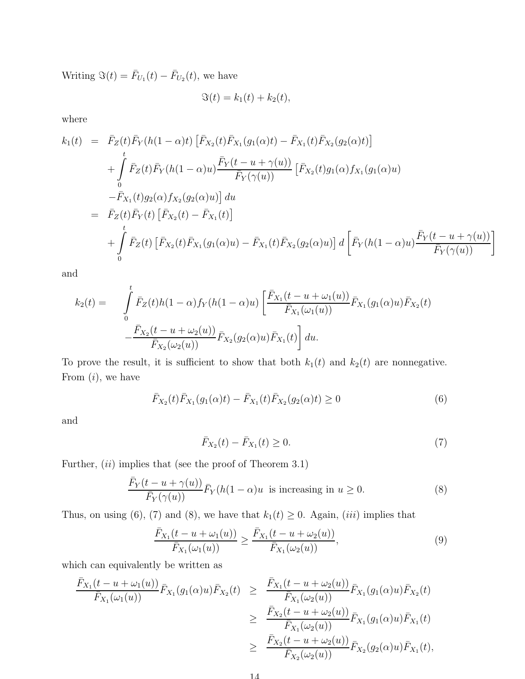Writing  $\Im(t) = \bar{F}_{U_1}(t) - \bar{F}_{U_2}(t)$ , we have

$$
\Im(t) = k_1(t) + k_2(t),
$$

where

$$
k_{1}(t) = \bar{F}_{Z}(t)\bar{F}_{Y}(h(1-\alpha)t) \left[ \bar{F}_{X_{2}}(t)\bar{F}_{X_{1}}(g_{1}(\alpha)t) - \bar{F}_{X_{1}}(t)\bar{F}_{X_{2}}(g_{2}(\alpha)t) \right] + \int_{0}^{t} \bar{F}_{Z}(t)\bar{F}_{Y}(h(1-\alpha)u) \frac{\bar{F}_{Y}(t-u+\gamma(u))}{\bar{F}_{Y}(\gamma(u))} \left[ \bar{F}_{X_{2}}(t)g_{1}(\alpha)f_{X_{1}}(g_{1}(\alpha)u) - \bar{F}_{X_{1}}(t)g_{2}(\alpha)f_{X_{2}}(g_{2}(\alpha)u) \right] du = \bar{F}_{Z}(t)\bar{F}_{Y}(t) \left[ \bar{F}_{X_{2}}(t) - \bar{F}_{X_{1}}(t) \right] + \int_{0}^{t} \bar{F}_{Z}(t) \left[ \bar{F}_{X_{2}}(t)\bar{F}_{X_{1}}(g_{1}(\alpha)u) - \bar{F}_{X_{1}}(t)\bar{F}_{X_{2}}(g_{2}(\alpha)u) \right] d \left[ \bar{F}_{Y}(h(1-\alpha)u) \frac{\bar{F}_{Y}(t-u+\gamma(u))}{\bar{F}_{Y}(\gamma(u))} \right]
$$

and

$$
k_2(t) = \int_0^t \bar{F}_Z(t)h(1-\alpha)f_Y(h(1-\alpha)u) \left[ \frac{\bar{F}_{X_1}(t-u+\omega_1(u))}{\bar{F}_{X_1}(\omega_1(u))} \bar{F}_{X_1}(g_1(\alpha)u) \bar{F}_{X_2}(t) - \frac{\bar{F}_{X_2}(t-u+\omega_2(u))}{\bar{F}_{X_2}(\omega_2(u))} \bar{F}_{X_2}(g_2(\alpha)u) \bar{F}_{X_1}(t) \right] du.
$$

To prove the result, it is sufficient to show that both  $k_1(t)$  and  $k_2(t)$  are nonnegative. From  $(i)$ , we have

$$
\bar{F}_{X_2}(t)\bar{F}_{X_1}(g_1(\alpha)t) - \bar{F}_{X_1}(t)\bar{F}_{X_2}(g_2(\alpha)t) \ge 0
$$
\n(6)

and

$$
\bar{F}_{X_2}(t) - \bar{F}_{X_1}(t) \ge 0. \tag{7}
$$

Further,  $(ii)$  implies that (see the proof of Theorem 3.1)

$$
\frac{\bar{F}_Y(t - u + \gamma(u))}{\bar{F}_Y(\gamma(u))}\bar{F}_Y(h(1 - \alpha)u \text{ is increasing in } u \ge 0. \tag{8}
$$

Thus, on using (6), (7) and (8), we have that  $k_1(t) \geq 0$ . Again, (*iii*) implies that

$$
\frac{\bar{F}_{X_1}(t - u + \omega_1(u))}{\bar{F}_{X_1}(\omega_1(u))} \ge \frac{\bar{F}_{X_1}(t - u + \omega_2(u))}{\bar{F}_{X_1}(\omega_2(u))},
$$
\n(9)

which can equivalently be written as

$$
\frac{\bar{F}_{X_1}(t - u + \omega_1(u))}{\bar{F}_{X_1}(\omega_1(u))}\bar{F}_{X_1}(g_1(\alpha)u)\bar{F}_{X_2}(t) \geq \frac{\bar{F}_{X_1}(t - u + \omega_2(u))}{\bar{F}_{X_1}(\omega_2(u))}\bar{F}_{X_1}(g_1(\alpha)u)\bar{F}_{X_2}(t) \n\geq \frac{\bar{F}_{X_2}(t - u + \omega_2(u))}{\bar{F}_{X_1}(\omega_2(u))}\bar{F}_{X_1}(g_1(\alpha)u)\bar{F}_{X_1}(t) \n\geq \frac{\bar{F}_{X_2}(t - u + \omega_2(u))}{\bar{F}_{X_2}(\omega_2(u))}\bar{F}_{X_2}(g_2(\alpha)u)\bar{F}_{X_1}(t),
$$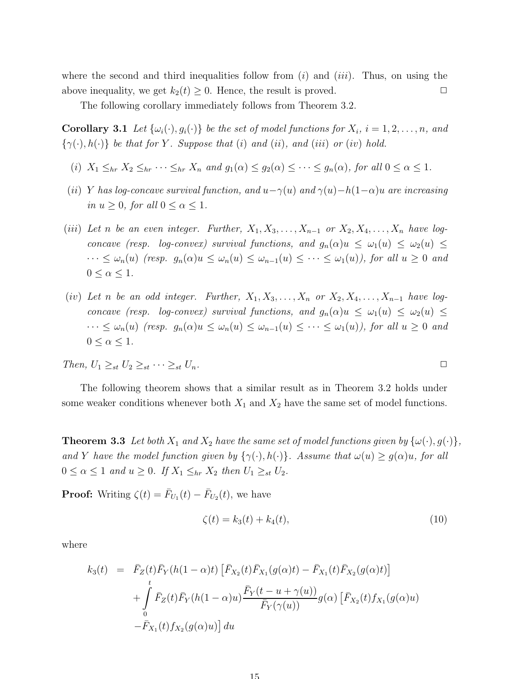where the second and third inequalities follow from  $(i)$  and  $(iii)$ . Thus, on using the above inequality, we get  $k_2(t) \geq 0$ . Hence, the result is proved.  $\Box$ 

The following corollary immediately follows from Theorem 3.2.

**Corollary 3.1** Let  $\{\omega_i(\cdot), g_i(\cdot)\}\)$  be the set of model functions for  $X_i$ ,  $i = 1, 2, \ldots, n$ , and  $\{\gamma(\cdot), h(\cdot)\}\$ be that for Y. Suppose that (i) and (ii), and (iii) or (iv) hold.

- (i)  $X_1 \leq_{hr} X_2 \leq_{hr} \cdots \leq_{hr} X_n$  and  $q_1(\alpha) \leq q_2(\alpha) \leq \cdots \leq q_n(\alpha)$ , for all  $0 \leq \alpha \leq 1$ .
- (ii) Y has log-concave survival function, and  $u-\gamma(u)$  and  $\gamma(u)-h(1-\alpha)u$  are increasing *in*  $u > 0$ *, for all*  $0 < \alpha < 1$ *.*
- (*iii*) Let *n* be an even integer. Further,  $X_1, X_3, \ldots, X_{n-1}$  or  $X_2, X_4, \ldots, X_n$  have log*concave (resp. log-convex) survival functions, and*  $g_n(\alpha)u \leq \omega_1(u) \leq \omega_2(u) \leq$  $\cdots \leq \omega_n(u)$  (resp.  $g_n(\alpha)u \leq \omega_n(u) \leq \omega_{n-1}(u) \leq \cdots \leq \omega_1(u)$ ), for all  $u \geq 0$  and  $0 \leq \alpha \leq 1$ .
- (iv) Let *n* be an odd integer. Further,  $X_1, X_3, \ldots, X_n$  or  $X_2, X_4, \ldots, X_{n-1}$  have log*concave (resp. log-convex) survival functions, and*  $g_n(\alpha)u \leq \omega_1(u) \leq \omega_2(u) \leq$  $\cdots \leq \omega_n(u)$  (resp.  $g_n(\alpha)u \leq \omega_n(u) \leq \omega_{n-1}(u) \leq \cdots \leq \omega_1(u)$ ), for all  $u \geq 0$  and  $0 \leq \alpha \leq 1$ .

*Then,*  $U_1 \geq_{st} U_2 \geq_{st} \cdots \geq_{st} U_n$ .

The following theorem shows that a similar result as in Theorem 3.2 holds under some weaker conditions whenever both  $X_1$  and  $X_2$  have the same set of model functions.

**Theorem 3.3** Let both  $X_1$  and  $X_2$  have the same set of model functions given by  $\{\omega(\cdot), g(\cdot)\},$ *and* Y have the model function given by  $\{\gamma(\cdot), h(\cdot)\}\$ . Assume that  $\omega(u) \geq g(\alpha)u$ , for all  $0 \leq \alpha \leq 1$  *and*  $u \geq 0$ *. If*  $X_1 \leq_{hr} X_2$  *then*  $U_1 \geq_{st} U_2$ *.* 

**Proof:** Writing  $\zeta(t) = \overline{F}_{U_1}(t) - \overline{F}_{U_2}(t)$ , we have

$$
\zeta(t) = k_3(t) + k_4(t),\tag{10}
$$

where

$$
k_3(t) = \bar{F}_Z(t)\bar{F}_Y(h(1-\alpha)t) \left[ \bar{F}_{X_2}(t)\bar{F}_{X_1}(g(\alpha)t) - \bar{F}_{X_1}(t)\bar{F}_{X_2}(g(\alpha)t) \right] + \int_0^t \bar{F}_Z(t)\bar{F}_Y(h(1-\alpha)u) \frac{\bar{F}_Y(t-u+\gamma(u))}{\bar{F}_Y(\gamma(u))} g(\alpha) \left[ \bar{F}_{X_2}(t) f_{X_1}(g(\alpha)u) \right] - \bar{F}_{X_1}(t) f_{X_2}(g(\alpha)u) \right] du
$$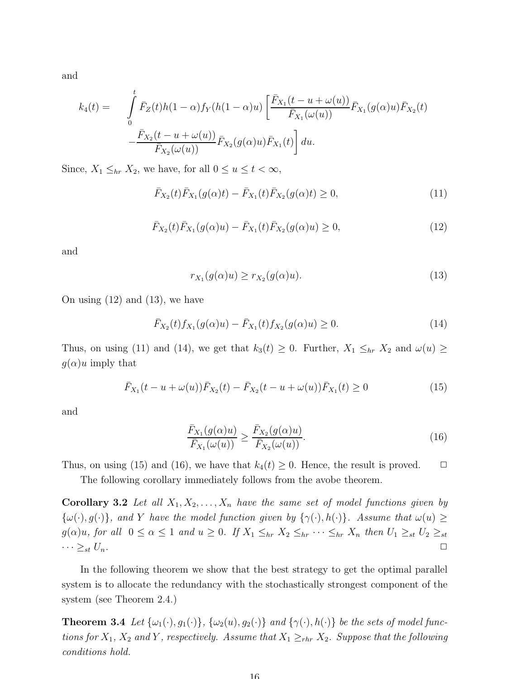$$
k_4(t) = \int_0^t \bar{F}_Z(t)h(1-\alpha)f_Y(h(1-\alpha)u) \left[ \frac{\bar{F}_{X_1}(t-u+\omega(u))}{\bar{F}_{X_1}(\omega(u))} \bar{F}_{X_1}(g(\alpha)u) \bar{F}_{X_2}(t) - \frac{\bar{F}_{X_2}(t-u+\omega(u))}{\bar{F}_{X_2}(\omega(u))} \bar{F}_{X_2}(g(\alpha)u) \bar{F}_{X_1}(t) \right] du.
$$

Since,  $X_1 \leq_{hr} X_2$ , we have, for all  $0 \leq u \leq t < \infty$ ,

$$
\bar{F}_{X_2}(t)\bar{F}_{X_1}(g(\alpha)t) - \bar{F}_{X_1}(t)\bar{F}_{X_2}(g(\alpha)t) \ge 0,
$$
\n(11)

$$
\bar{F}_{X_2}(t)\bar{F}_{X_1}(g(\alpha)u) - \bar{F}_{X_1}(t)\bar{F}_{X_2}(g(\alpha)u) \ge 0,
$$
\n(12)

and

$$
r_{X_1}(g(\alpha)u) \ge r_{X_2}(g(\alpha)u). \tag{13}
$$

On using (12) and (13), we have

$$
\bar{F}_{X_2}(t)f_{X_1}(g(\alpha)u) - \bar{F}_{X_1}(t)f_{X_2}(g(\alpha)u) \ge 0.
$$
\n(14)

Thus, on using (11) and (14), we get that  $k_3(t) \geq 0$ . Further,  $X_1 \leq_{hr} X_2$  and  $\omega(u) \geq$  $g(\alpha)u$  imply that

$$
\bar{F}_{X_1}(t - u + \omega(u))\bar{F}_{X_2}(t) - \bar{F}_{X_2}(t - u + \omega(u))\bar{F}_{X_1}(t) \ge 0
$$
\n(15)

and

$$
\frac{\bar{F}_{X_1}(g(\alpha)u)}{\bar{F}_{X_1}(\omega(u))} \ge \frac{\bar{F}_{X_2}(g(\alpha)u)}{\bar{F}_{X_2}(\omega(u))}.
$$
\n(16)

Thus, on using (15) and (16), we have that  $k_4(t) \geq 0$ . Hence, the result is proved.  $\Box$ 

The following corollary immediately follows from the avobe theorem.

Corollary 3.2 Let all  $X_1, X_2, \ldots, X_n$  have the same set of model functions given by  $\{\omega(\cdot), g(\cdot)\}\$ , and Y have the model function given by  $\{\gamma(\cdot), h(\cdot)\}\$ . Assume that  $\omega(u) \geq$  $g(\alpha)u$ , for all  $0 \leq \alpha \leq 1$  and  $u \geq 0$ . If  $X_1 \leq_{hr} X_2 \leq_{hr} \cdots \leq_{hr} X_n$  then  $U_1 \geq_{st} U_2 \geq_{st}$  $\cdots \geq_{st} U_n$ .

In the following theorem we show that the best strategy to get the optimal parallel system is to allocate the redundancy with the stochastically strongest component of the system (see Theorem 2.4.)

**Theorem 3.4** *Let*  $\{\omega_1(\cdot), g_1(\cdot)\}\$ ,  $\{\omega_2(u), g_2(\cdot)\}\$  *and*  $\{\gamma(\cdot), h(\cdot)\}\$  *be the sets of model functions for*  $X_1$ ,  $X_2$  *and*  $Y$ *, respectively. Assume that*  $X_1 \geq_{rhr} X_2$ *. Suppose that the following conditions hold.*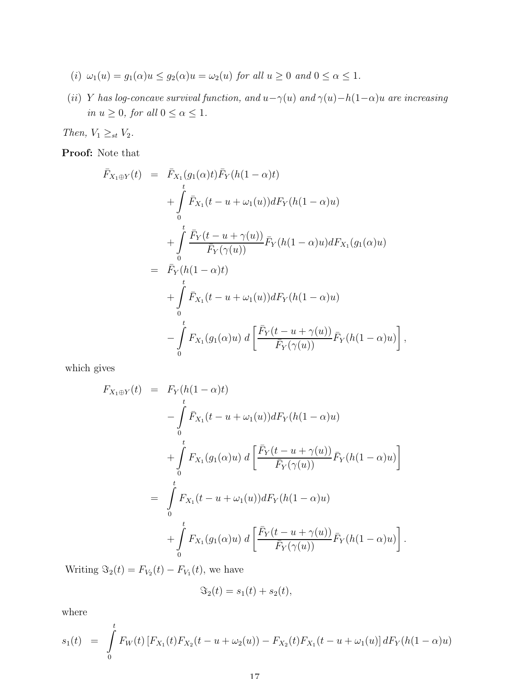- (i)  $\omega_1(u) = g_1(\alpha)u \leq g_2(\alpha)u = \omega_2(u)$  *for all*  $u \geq 0$  *and*  $0 \leq \alpha \leq 1$ *.*
- (ii) Y *has log-concave survival function, and*  $u-\gamma(u)$  *and*  $\gamma(u)-h(1-\alpha)u$  *are increasing in*  $u \geq 0$ *, for all*  $0 \leq \alpha \leq 1$ *.*

*Then,*  $V_1 \geq_{st} V_2$ *.* 

Proof: Note that

$$
\begin{split}\n\bar{F}_{X_1 \oplus Y}(t) &= \bar{F}_{X_1}(g_1(\alpha)t)\bar{F}_Y(h(1-\alpha)t) \\
&+ \int_0^t \bar{F}_{X_1}(t-u+\omega_1(u))dF_Y(h(1-\alpha)u) \\
&+ \int_0^t \frac{\bar{F}_Y(t-u+\gamma(u))}{\bar{F}_Y(\gamma(u))}\bar{F}_Y(h(1-\alpha)u)dF_{X_1}(g_1(\alpha)u) \\
&= \bar{F}_Y(h(1-\alpha)t) \\
&+ \int_0^t \bar{F}_{X_1}(t-u+\omega_1(u))dF_Y(h(1-\alpha)u) \\
&- \int_0^t F_{X_1}(g_1(\alpha)u) d\left[\frac{\bar{F}_Y(t-u+\gamma(u))}{\bar{F}_Y(\gamma(u))}\bar{F}_Y(h(1-\alpha)u)\right],\n\end{split}
$$

which gives

$$
F_{X_1 \oplus Y}(t) = F_Y(h(1 - \alpha)t)
$$
  
\n
$$
- \int_0^t \bar{F}_{X_1}(t - u + \omega_1(u))dF_Y(h(1 - \alpha)u)
$$
  
\n
$$
+ \int_0^t F_{X_1}(g_1(\alpha)u) d\left[\frac{\bar{F}_Y(t - u + \gamma(u))}{\bar{F}_Y(\gamma(u))}\bar{F}_Y(h(1 - \alpha)u)\right]
$$
  
\n
$$
= \int_0^t F_{X_1}(t - u + \omega_1(u))dF_Y(h(1 - \alpha)u)
$$
  
\n
$$
+ \int_0^t F_{X_1}(g_1(\alpha)u) d\left[\frac{\bar{F}_Y(t - u + \gamma(u))}{\bar{F}_Y(\gamma(u))}\bar{F}_Y(h(1 - \alpha)u)\right].
$$

Writing  $\Im_2(t) = F_{V_2}(t) - F_{V_1}(t)$ , we have

$$
\Im_2(t) = s_1(t) + s_2(t),
$$

where

$$
s_1(t) = \int_0^t F_W(t) \left[ F_{X_1}(t) F_{X_2}(t - u + \omega_2(u)) - F_{X_2}(t) F_{X_1}(t - u + \omega_1(u)) \right] dF_Y(h(1 - \alpha)u)
$$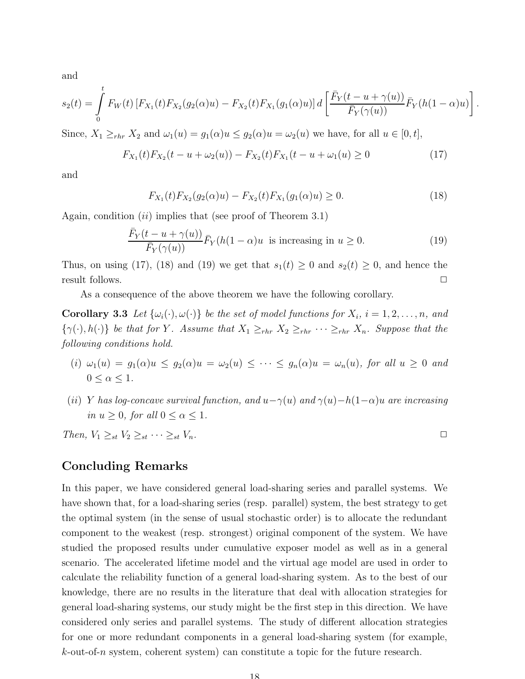$$
s_2(t) = \int_0^t F_W(t) \left[ F_{X_1}(t) F_{X_2}(g_2(\alpha)u) - F_{X_2}(t) F_{X_1}(g_1(\alpha)u) \right] d \left[ \frac{\bar{F}_Y(t - u + \gamma(u))}{\bar{F}_Y(\gamma(u))} \bar{F}_Y(h(1 - \alpha)u) \right]
$$

Since,  $X_1 \geq_{rhr} X_2$  and  $\omega_1(u) = g_1(\alpha)u \leq g_2(\alpha)u = \omega_2(u)$  we have, for all  $u \in [0, t]$ ,

$$
F_{X_1}(t)F_{X_2}(t - u + \omega_2(u)) - F_{X_2}(t)F_{X_1}(t - u + \omega_1(u)) \ge 0
$$
\n(17)

and

$$
F_{X_1}(t)F_{X_2}(g_2(\alpha)u) - F_{X_2}(t)F_{X_1}(g_1(\alpha)u) \ge 0.
$$
\n(18)

.

Again, condition  $(ii)$  implies that (see proof of Theorem 3.1)

$$
\frac{\bar{F}_Y(t - u + \gamma(u))}{\bar{F}_Y(\gamma(u))}\bar{F}_Y(h(1 - \alpha)u \text{ is increasing in } u \ge 0. \tag{19}
$$

Thus, on using (17), (18) and (19) we get that  $s_1(t) \geq 0$  and  $s_2(t) \geq 0$ , and hence the result follows.  $\Box$ 

As a consequence of the above theorem we have the following corollary.

**Corollary 3.3** Let  $\{\omega_i(\cdot), \omega(\cdot)\}\)$  be the set of model functions for  $X_i$ ,  $i = 1, 2, \ldots, n$ , and  $\{\gamma(\cdot), h(\cdot)\}\$ be that for Y. Assume that  $X_1 \geq_{rhr} X_2 \geq_{rhr} \cdots \geq_{rhr} X_n$ . Suppose that the *following conditions hold.*

- (i)  $\omega_1(u) = g_1(\alpha)u \leq g_2(\alpha)u = \omega_2(u) \leq \cdots \leq g_n(\alpha)u = \omega_n(u)$ , for all  $u \geq 0$  and  $0 \leq \alpha \leq 1$ .
- (*ii*) Y has log-concave survival function, and  $u-\gamma(u)$  and  $\gamma(u)-h(1-\alpha)u$  are increasing *in*  $u \geq 0$ *, for all*  $0 \leq \alpha \leq 1$ *.*

Then, 
$$
V_1 \geq_{st} V_2 \geq_{st} \cdots \geq_{st} V_n
$$
.

Concluding Remarks

In this paper, we have considered general load-sharing series and parallel systems. We have shown that, for a load-sharing series (resp. parallel) system, the best strategy to get the optimal system (in the sense of usual stochastic order) is to allocate the redundant component to the weakest (resp. strongest) original component of the system. We have studied the proposed results under cumulative exposer model as well as in a general scenario. The accelerated lifetime model and the virtual age model are used in order to calculate the reliability function of a general load-sharing system. As to the best of our knowledge, there are no results in the literature that deal with allocation strategies for general load-sharing systems, our study might be the first step in this direction. We have considered only series and parallel systems. The study of different allocation strategies for one or more redundant components in a general load-sharing system (for example, k-out-of-n system, coherent system) can constitute a topic for the future research.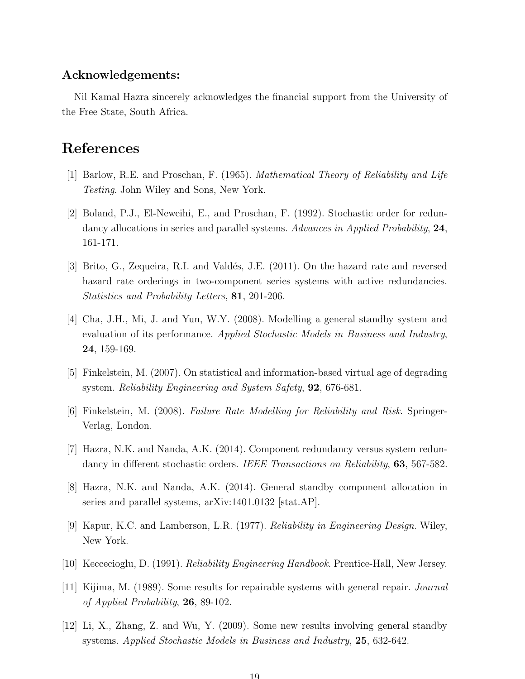### Acknowledgements:

Nil Kamal Hazra sincerely acknowledges the financial support from the University of the Free State, South Africa.

## References

- [1] Barlow, R.E. and Proschan, F. (1965). *Mathematical Theory of Reliability and Life Testing*. John Wiley and Sons, New York.
- [2] Boland, P.J., El-Neweihi, E., and Proschan, F. (1992). Stochastic order for redundancy allocations in series and parallel systems. *Advances in Applied Probability*, 24, 161-171.
- [3] Brito, G., Zequeira, R.I. and Valdés, J.E. (2011). On the hazard rate and reversed hazard rate orderings in two-component series systems with active redundancies. *Statistics and Probability Letters*, 81, 201-206.
- [4] Cha, J.H., Mi, J. and Yun, W.Y. (2008). Modelling a general standby system and evaluation of its performance. *Applied Stochastic Models in Business and Industry*, 24, 159-169.
- [5] Finkelstein, M. (2007). On statistical and information-based virtual age of degrading system. *Reliability Engineering and System Safety*, 92, 676-681.
- [6] Finkelstein, M. (2008). *Failure Rate Modelling for Reliability and Risk*. Springer-Verlag, London.
- [7] Hazra, N.K. and Nanda, A.K. (2014). Component redundancy versus system redundancy in different stochastic orders. *IEEE Transactions on Reliability*, 63, 567-582.
- [8] Hazra, N.K. and Nanda, A.K. (2014). General standby component allocation in series and parallel systems, arXiv:1401.0132 |stat.AP.
- [9] Kapur, K.C. and Lamberson, L.R. (1977). *Reliability in Engineering Design*. Wiley, New York.
- [10] Keccecioglu, D. (1991). *Reliability Engineering Handbook*. Prentice-Hall, New Jersey.
- [11] Kijima, M. (1989). Some results for repairable systems with general repair. *Journal of Applied Probability*, 26, 89-102.
- [12] Li, X., Zhang, Z. and Wu, Y. (2009). Some new results involving general standby systems. *Applied Stochastic Models in Business and Industry*, 25, 632-642.

19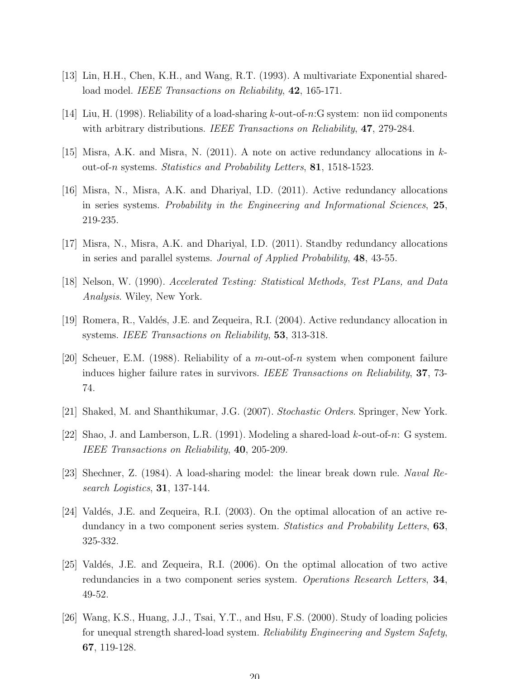- [13] Lin, H.H., Chen, K.H., and Wang, R.T. (1993). A multivariate Exponential sharedload model. *IEEE Transactions on Reliability*, 42, 165-171.
- [14] Liu, H. (1998). Reliability of a load-sharing k-out-of-n:G system: non iid components with arbitrary distributions. *IEEE Transactions on Reliability*, 47, 279-284.
- [15] Misra, A.K. and Misra, N. (2011). A note on active redundancy allocations in kout-of-n systems. *Statistics and Probability Letters*, 81, 1518-1523.
- [16] Misra, N., Misra, A.K. and Dhariyal, I.D. (2011). Active redundancy allocations in series systems. *Probability in the Engineering and Informational Sciences*, 25, 219-235.
- [17] Misra, N., Misra, A.K. and Dhariyal, I.D. (2011). Standby redundancy allocations in series and parallel systems. *Journal of Applied Probability*, 48, 43-55.
- [18] Nelson, W. (1990). *Accelerated Testing: Statistical Methods, Test PLans, and Data Analysis*. Wiley, New York.
- [19] Romera, R., Valdés, J.E. and Zequeira, R.I. (2004). Active redundancy allocation in systems. *IEEE Transactions on Reliability*, 53, 313-318.
- [20] Scheuer, E.M. (1988). Reliability of a  $m$ -out-of-n system when component failure induces higher failure rates in survivors. *IEEE Transactions on Reliability*, 37, 73- 74.
- [21] Shaked, M. and Shanthikumar, J.G. (2007). *Stochastic Orders*. Springer, New York.
- [22] Shao, J. and Lamberson, L.R. (1991). Modeling a shared-load k-out-of-n: G system. *IEEE Transactions on Reliability*, 40, 205-209.
- [23] Shechner, Z. (1984). A load-sharing model: the linear break down rule. *Naval Research Logistics*, 31, 137-144.
- $[24]$  Valdés, J.E. and Zequeira, R.I. (2003). On the optimal allocation of an active redundancy in a two component series system. *Statistics and Probability Letters*, 63, 325-332.
- [25] Valdés, J.E. and Zequeira, R.I. (2006). On the optimal allocation of two active redundancies in a two component series system. *Operations Research Letters*, 34, 49-52.
- [26] Wang, K.S., Huang, J.J., Tsai, Y.T., and Hsu, F.S. (2000). Study of loading policies for unequal strength shared-load system. *Reliability Engineering and System Safety*, 67, 119-128.

 $20$